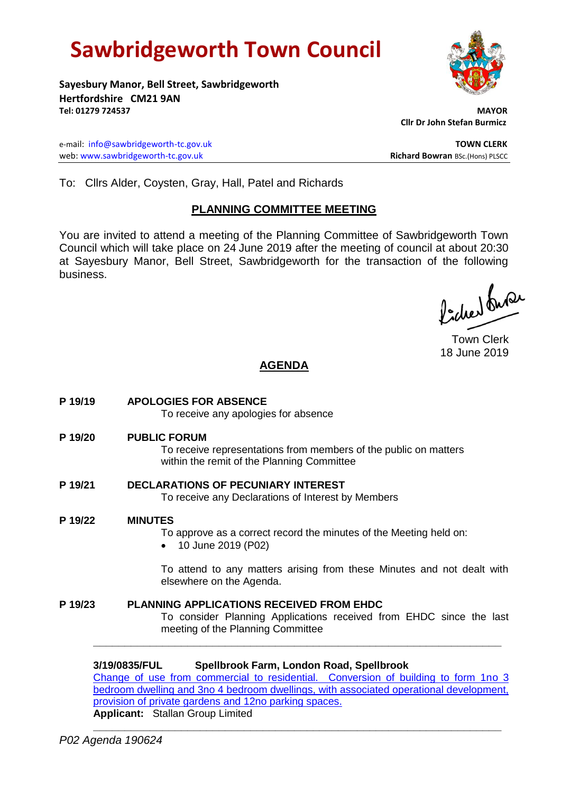# **Sawbridgeworth Town Council**

**Sayesbury Manor, Bell Street, Sawbridgeworth Hertfordshire CM21 9AN Tel: 01279 724537 MAYOR**

e-mail: [info@sawbridgeworth-tc.gov.uk](mailto:info@sawbridgeworth-tc.gov.uk) **TOWN CLERK** web: www.sawbridgeworth-tc.gov.uk<br> **Richard Bowran** BSc.(Hons) PLSCC

 **Cllr Dr John Stefan Burmicz**

To: Cllrs Alder, Coysten, Gray, Hall, Patel and Richards

# **PLANNING COMMITTEE MEETING**

You are invited to attend a meeting of the Planning Committee of Sawbridgeworth Town Council which will take place on 24 June 2019 after the meeting of council at about 20:30 at Sayesbury Manor, Bell Street, Sawbridgeworth for the transaction of the following business.

Picked fuse

Town Clerk 18 June 2019

# **AGENDA**

**P 19/19 APOLOGIES FOR ABSENCE** To receive any apologies for absence **P 19/20 PUBLIC FORUM**

> To receive representations from members of the public on matters within the remit of the Planning Committee

- **P 19/21 DECLARATIONS OF PECUNIARY INTEREST** To receive any Declarations of Interest by Members
- **P 19/22 MINUTES**

To approve as a correct record the minutes of the Meeting held on:

• 10 June 2019 (P02)

To attend to any matters arising from these Minutes and not dealt with elsewhere on the Agenda.

**P 19/23 PLANNING APPLICATIONS RECEIVED FROM EHDC** To consider Planning Applications received from EHDC since the last meeting of the Planning Committee

**3/19/0835/FUL Spellbrook Farm, London Road, Spellbrook**

[Change of use from commercial to residential. Conversion of building to form 1no 3](https://publicaccess.eastherts.gov.uk/online-applications/applicationDetails.do?activeTab=documents&keyVal=PQ74UZGLJ0700)  [bedroom dwelling and 3no 4 bedroom dwellings, with associated operational development,](https://publicaccess.eastherts.gov.uk/online-applications/applicationDetails.do?activeTab=documents&keyVal=PQ74UZGLJ0700)  [provision of private gardens and 12no parking spaces.](https://publicaccess.eastherts.gov.uk/online-applications/applicationDetails.do?activeTab=documents&keyVal=PQ74UZGLJ0700) **Applicant:** Stallan Group Limited

**\_\_\_\_\_\_\_\_\_\_\_\_\_\_\_\_\_\_\_\_\_\_\_\_\_\_\_\_\_\_\_\_\_\_\_\_\_\_\_\_\_\_\_\_\_\_\_\_\_\_\_\_\_\_\_\_\_\_\_\_\_\_\_\_\_**

**\_\_\_\_\_\_\_\_\_\_\_\_\_\_\_\_\_\_\_\_\_\_\_\_\_\_\_\_\_\_\_\_\_\_\_\_\_\_\_\_\_\_\_\_\_\_\_\_\_\_\_\_\_\_\_\_\_\_\_\_\_\_\_\_\_**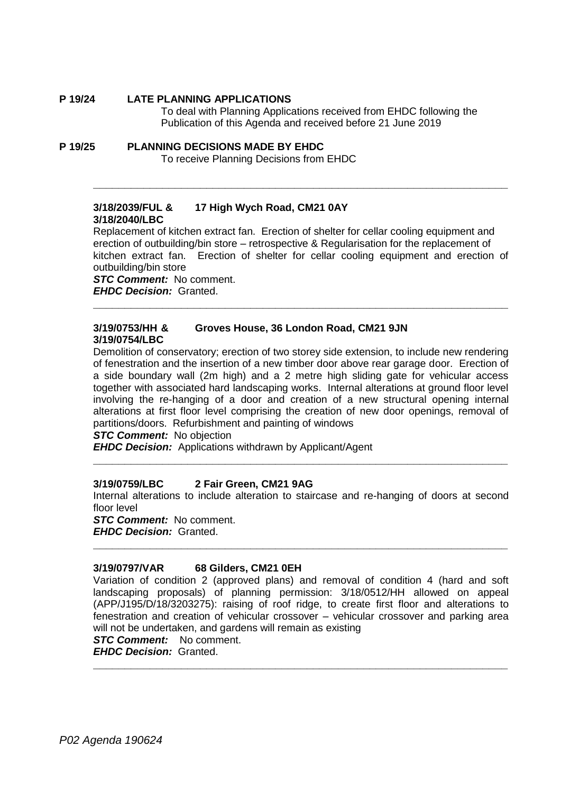### **P 19/24 LATE PLANNING APPLICATIONS**

To deal with Planning Applications received from EHDC following the Publication of this Agenda and received before 21 June 2019

**P 19/25 PLANNING DECISIONS MADE BY EHDC** To receive Planning Decisions from EHDC

## **3/18/2039/FUL & 17 High Wych Road, CM21 0AY 3/18/2040/LBC**

Replacement of kitchen extract fan. Erection of shelter for cellar cooling equipment and erection of outbuilding/bin store – retrospective & Regularisation for the replacement of kitchen extract fan. Erection of shelter for cellar cooling equipment and erection of outbuilding/bin store

**\_\_\_\_\_\_\_\_\_\_\_\_\_\_\_\_\_\_\_\_\_\_\_\_\_\_\_\_\_\_\_\_\_\_\_\_\_\_\_\_\_\_\_\_\_\_\_\_\_\_\_\_\_\_\_\_\_\_\_\_\_\_\_\_\_\_**

**\_\_\_\_\_\_\_\_\_\_\_\_\_\_\_\_\_\_\_\_\_\_\_\_\_\_\_\_\_\_\_\_\_\_\_\_\_\_\_\_\_\_\_\_\_\_\_\_\_\_\_\_\_\_\_\_\_\_\_\_\_\_\_\_\_\_**

*STC Comment:* No comment. *EHDC Decision:* Granted.

#### **3/19/0753/HH & Groves House, 36 London Road, CM21 9JN 3/19/0754/LBC**

Demolition of conservatory; erection of two storey side extension, to include new rendering of fenestration and the insertion of a new timber door above rear garage door. Erection of a side boundary wall (2m high) and a 2 metre high sliding gate for vehicular access together with associated hard landscaping works. Internal alterations at ground floor level involving the re-hanging of a door and creation of a new structural opening internal alterations at first floor level comprising the creation of new door openings, removal of partitions/doors. Refurbishment and painting of windows

*STC Comment:* No objection

*EHDC Decision:* Applications withdrawn by Applicant/Agent

#### **3/19/0759/LBC 2 Fair Green, CM21 9AG**

Internal alterations to include alteration to staircase and re-hanging of doors at second floor level

**\_\_\_\_\_\_\_\_\_\_\_\_\_\_\_\_\_\_\_\_\_\_\_\_\_\_\_\_\_\_\_\_\_\_\_\_\_\_\_\_\_\_\_\_\_\_\_\_\_\_\_\_\_\_\_\_\_\_\_\_\_\_\_\_\_\_**

**\_\_\_\_\_\_\_\_\_\_\_\_\_\_\_\_\_\_\_\_\_\_\_\_\_\_\_\_\_\_\_\_\_\_\_\_\_\_\_\_\_\_\_\_\_\_\_\_\_\_\_\_\_\_\_\_\_\_\_\_\_\_\_\_\_\_**

*STC Comment:* No comment.

*EHDC Decision:* Granted.

#### **3/19/0797/VAR 68 Gilders, CM21 0EH**

Variation of condition 2 (approved plans) and removal of condition 4 (hard and soft landscaping proposals) of planning permission: 3/18/0512/HH allowed on appeal (APP/J195/D/18/3203275): raising of roof ridge, to create first floor and alterations to fenestration and creation of vehicular crossover – vehicular crossover and parking area will not be undertaken, and gardens will remain as existing

*STC Comment:* No comment.

*EHDC Decision:* Granted. **\_\_\_\_\_\_\_\_\_\_\_\_\_\_\_\_\_\_\_\_\_\_\_\_\_\_\_\_\_\_\_\_\_\_\_\_\_\_\_\_\_\_\_\_\_\_\_\_\_\_\_\_\_\_\_\_\_\_\_\_\_\_\_\_\_\_**